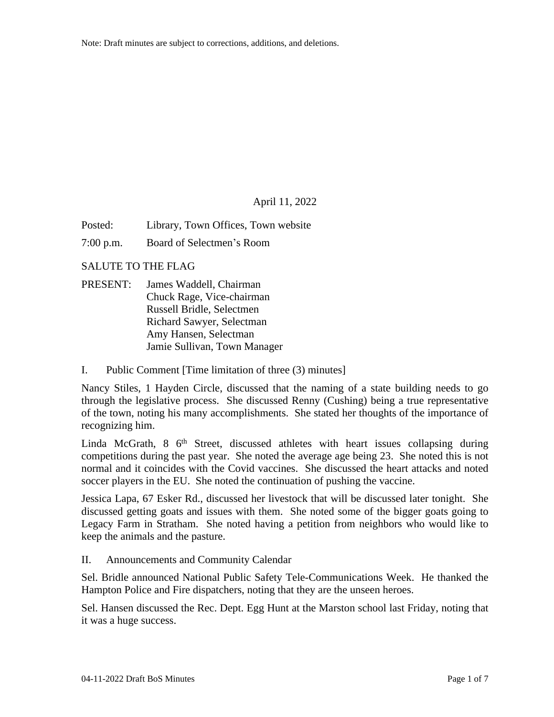## April 11, 2022

Posted: Library, Town Offices, Town website

7:00 p.m. Board of Selectmen's Room

SALUTE TO THE FLAG

- PRESENT: James Waddell, Chairman Chuck Rage, Vice-chairman Russell Bridle, Selectmen Richard Sawyer, Selectman Amy Hansen, Selectman Jamie Sullivan, Town Manager
- I. Public Comment [Time limitation of three (3) minutes]

Nancy Stiles, 1 Hayden Circle, discussed that the naming of a state building needs to go through the legislative process. She discussed Renny (Cushing) being a true representative of the town, noting his many accomplishments. She stated her thoughts of the importance of recognizing him.

Linda McGrath, 8 6<sup>th</sup> Street, discussed athletes with heart issues collapsing during competitions during the past year. She noted the average age being 23. She noted this is not normal and it coincides with the Covid vaccines. She discussed the heart attacks and noted soccer players in the EU. She noted the continuation of pushing the vaccine.

Jessica Lapa, 67 Esker Rd., discussed her livestock that will be discussed later tonight. She discussed getting goats and issues with them. She noted some of the bigger goats going to Legacy Farm in Stratham. She noted having a petition from neighbors who would like to keep the animals and the pasture.

II. Announcements and Community Calendar

Sel. Bridle announced National Public Safety Tele-Communications Week. He thanked the Hampton Police and Fire dispatchers, noting that they are the unseen heroes.

Sel. Hansen discussed the Rec. Dept. Egg Hunt at the Marston school last Friday, noting that it was a huge success.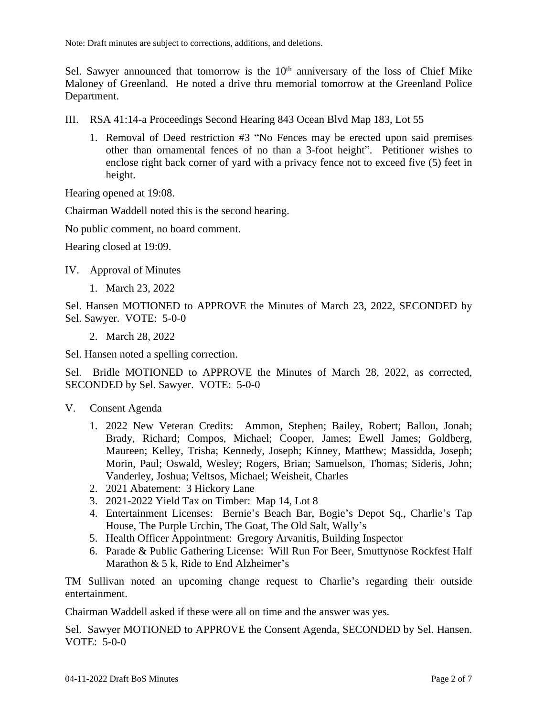Sel. Sawyer announced that tomorrow is the  $10<sup>th</sup>$  anniversary of the loss of Chief Mike Maloney of Greenland. He noted a drive thru memorial tomorrow at the Greenland Police Department.

- III. RSA 41:14-a Proceedings Second Hearing 843 Ocean Blvd Map 183, Lot 55
	- 1. Removal of Deed restriction #3 "No Fences may be erected upon said premises other than ornamental fences of no than a 3-foot height". Petitioner wishes to enclose right back corner of yard with a privacy fence not to exceed five (5) feet in height.

Hearing opened at 19:08.

Chairman Waddell noted this is the second hearing.

No public comment, no board comment.

Hearing closed at 19:09.

IV. Approval of Minutes

1. March 23, 2022

Sel. Hansen MOTIONED to APPROVE the Minutes of March 23, 2022, SECONDED by Sel. Sawyer. VOTE: 5-0-0

2. March 28, 2022

Sel. Hansen noted a spelling correction.

Sel. Bridle MOTIONED to APPROVE the Minutes of March 28, 2022, as corrected, SECONDED by Sel. Sawyer. VOTE: 5-0-0

- V. Consent Agenda
	- 1. 2022 New Veteran Credits: Ammon, Stephen; Bailey, Robert; Ballou, Jonah; Brady, Richard; Compos, Michael; Cooper, James; Ewell James; Goldberg, Maureen; Kelley, Trisha; Kennedy, Joseph; Kinney, Matthew; Massidda, Joseph; Morin, Paul; Oswald, Wesley; Rogers, Brian; Samuelson, Thomas; Sideris, John; Vanderley, Joshua; Veltsos, Michael; Weisheit, Charles
	- 2. 2021 Abatement: 3 Hickory Lane
	- 3. 2021-2022 Yield Tax on Timber: Map 14, Lot 8
	- 4. Entertainment Licenses: Bernie's Beach Bar, Bogie's Depot Sq., Charlie's Tap House, The Purple Urchin, The Goat, The Old Salt, Wally's
	- 5. Health Officer Appointment: Gregory Arvanitis, Building Inspector
	- 6. Parade & Public Gathering License: Will Run For Beer, Smuttynose Rockfest Half Marathon & 5 k, Ride to End Alzheimer's

TM Sullivan noted an upcoming change request to Charlie's regarding their outside entertainment.

Chairman Waddell asked if these were all on time and the answer was yes.

Sel. Sawyer MOTIONED to APPROVE the Consent Agenda, SECONDED by Sel. Hansen. VOTE: 5-0-0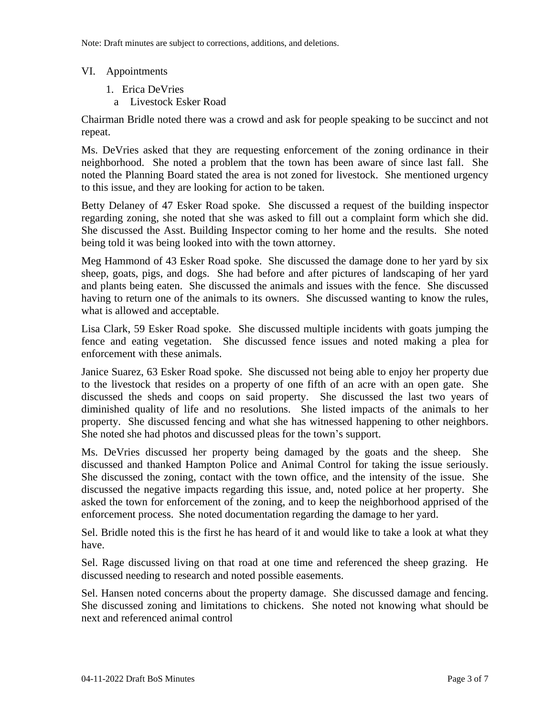## VI. Appointments

- 1. Erica DeVries
- a Livestock Esker Road

Chairman Bridle noted there was a crowd and ask for people speaking to be succinct and not repeat.

Ms. DeVries asked that they are requesting enforcement of the zoning ordinance in their neighborhood. She noted a problem that the town has been aware of since last fall. She noted the Planning Board stated the area is not zoned for livestock. She mentioned urgency to this issue, and they are looking for action to be taken.

Betty Delaney of 47 Esker Road spoke. She discussed a request of the building inspector regarding zoning, she noted that she was asked to fill out a complaint form which she did. She discussed the Asst. Building Inspector coming to her home and the results. She noted being told it was being looked into with the town attorney.

Meg Hammond of 43 Esker Road spoke. She discussed the damage done to her yard by six sheep, goats, pigs, and dogs. She had before and after pictures of landscaping of her yard and plants being eaten. She discussed the animals and issues with the fence. She discussed having to return one of the animals to its owners. She discussed wanting to know the rules, what is allowed and acceptable.

Lisa Clark, 59 Esker Road spoke. She discussed multiple incidents with goats jumping the fence and eating vegetation. She discussed fence issues and noted making a plea for enforcement with these animals.

Janice Suarez, 63 Esker Road spoke. She discussed not being able to enjoy her property due to the livestock that resides on a property of one fifth of an acre with an open gate. She discussed the sheds and coops on said property. She discussed the last two years of diminished quality of life and no resolutions. She listed impacts of the animals to her property. She discussed fencing and what she has witnessed happening to other neighbors. She noted she had photos and discussed pleas for the town's support.

Ms. DeVries discussed her property being damaged by the goats and the sheep. She discussed and thanked Hampton Police and Animal Control for taking the issue seriously. She discussed the zoning, contact with the town office, and the intensity of the issue. She discussed the negative impacts regarding this issue, and, noted police at her property. She asked the town for enforcement of the zoning, and to keep the neighborhood apprised of the enforcement process. She noted documentation regarding the damage to her yard.

Sel. Bridle noted this is the first he has heard of it and would like to take a look at what they have.

Sel. Rage discussed living on that road at one time and referenced the sheep grazing. He discussed needing to research and noted possible easements.

Sel. Hansen noted concerns about the property damage. She discussed damage and fencing. She discussed zoning and limitations to chickens. She noted not knowing what should be next and referenced animal control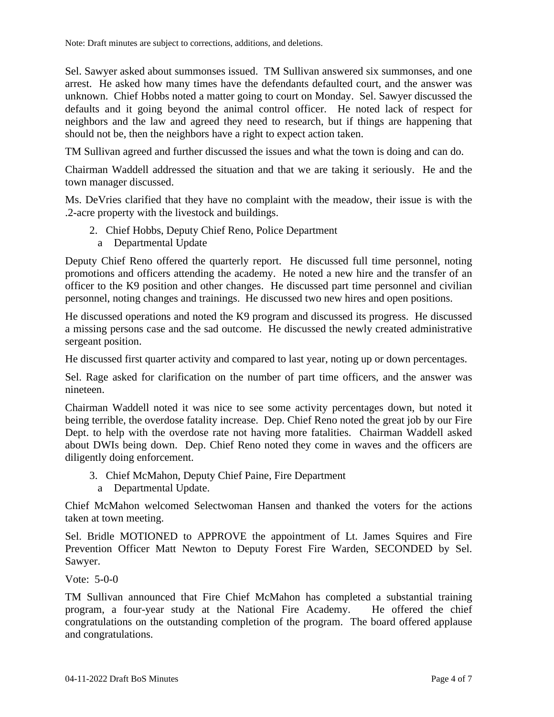Sel. Sawyer asked about summonses issued. TM Sullivan answered six summonses, and one arrest. He asked how many times have the defendants defaulted court, and the answer was unknown. Chief Hobbs noted a matter going to court on Monday. Sel. Sawyer discussed the defaults and it going beyond the animal control officer. He noted lack of respect for neighbors and the law and agreed they need to research, but if things are happening that should not be, then the neighbors have a right to expect action taken.

TM Sullivan agreed and further discussed the issues and what the town is doing and can do.

Chairman Waddell addressed the situation and that we are taking it seriously. He and the town manager discussed.

Ms. DeVries clarified that they have no complaint with the meadow, their issue is with the .2-acre property with the livestock and buildings.

- 2. Chief Hobbs, Deputy Chief Reno, Police Department
	- a Departmental Update

Deputy Chief Reno offered the quarterly report. He discussed full time personnel, noting promotions and officers attending the academy. He noted a new hire and the transfer of an officer to the K9 position and other changes. He discussed part time personnel and civilian personnel, noting changes and trainings. He discussed two new hires and open positions.

He discussed operations and noted the K9 program and discussed its progress. He discussed a missing persons case and the sad outcome. He discussed the newly created administrative sergeant position.

He discussed first quarter activity and compared to last year, noting up or down percentages.

Sel. Rage asked for clarification on the number of part time officers, and the answer was nineteen.

Chairman Waddell noted it was nice to see some activity percentages down, but noted it being terrible, the overdose fatality increase. Dep. Chief Reno noted the great job by our Fire Dept. to help with the overdose rate not having more fatalities. Chairman Waddell asked about DWIs being down. Dep. Chief Reno noted they come in waves and the officers are diligently doing enforcement.

- 3. Chief McMahon, Deputy Chief Paine, Fire Department
	- a Departmental Update.

Chief McMahon welcomed Selectwoman Hansen and thanked the voters for the actions taken at town meeting.

Sel. Bridle MOTIONED to APPROVE the appointment of Lt. James Squires and Fire Prevention Officer Matt Newton to Deputy Forest Fire Warden, SECONDED by Sel. Sawyer.

Vote: 5-0-0

TM Sullivan announced that Fire Chief McMahon has completed a substantial training program, a four-year study at the National Fire Academy. He offered the chief congratulations on the outstanding completion of the program. The board offered applause and congratulations.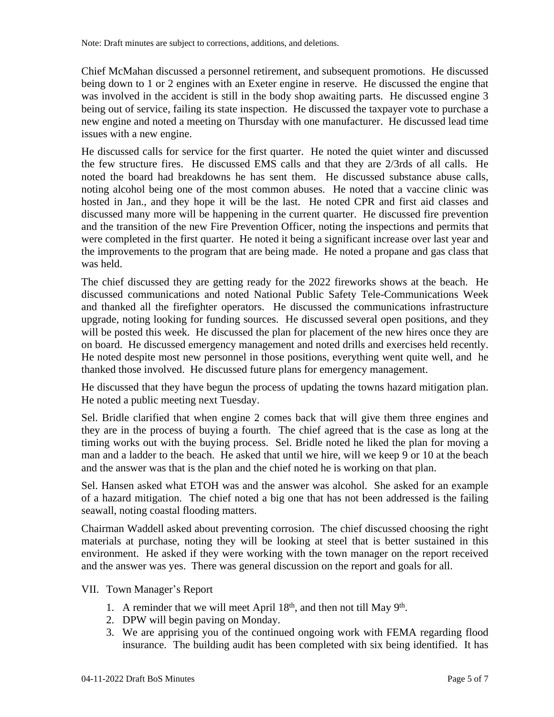Chief McMahan discussed a personnel retirement, and subsequent promotions. He discussed being down to 1 or 2 engines with an Exeter engine in reserve. He discussed the engine that was involved in the accident is still in the body shop awaiting parts. He discussed engine 3 being out of service, failing its state inspection. He discussed the taxpayer vote to purchase a new engine and noted a meeting on Thursday with one manufacturer. He discussed lead time issues with a new engine.

He discussed calls for service for the first quarter. He noted the quiet winter and discussed the few structure fires. He discussed EMS calls and that they are 2/3rds of all calls. He noted the board had breakdowns he has sent them. He discussed substance abuse calls, noting alcohol being one of the most common abuses. He noted that a vaccine clinic was hosted in Jan., and they hope it will be the last. He noted CPR and first aid classes and discussed many more will be happening in the current quarter. He discussed fire prevention and the transition of the new Fire Prevention Officer, noting the inspections and permits that were completed in the first quarter. He noted it being a significant increase over last year and the improvements to the program that are being made. He noted a propane and gas class that was held.

The chief discussed they are getting ready for the 2022 fireworks shows at the beach. He discussed communications and noted National Public Safety Tele-Communications Week and thanked all the firefighter operators. He discussed the communications infrastructure upgrade, noting looking for funding sources. He discussed several open positions, and they will be posted this week. He discussed the plan for placement of the new hires once they are on board. He discussed emergency management and noted drills and exercises held recently. He noted despite most new personnel in those positions, everything went quite well, and he thanked those involved. He discussed future plans for emergency management.

He discussed that they have begun the process of updating the towns hazard mitigation plan. He noted a public meeting next Tuesday.

Sel. Bridle clarified that when engine 2 comes back that will give them three engines and they are in the process of buying a fourth. The chief agreed that is the case as long at the timing works out with the buying process. Sel. Bridle noted he liked the plan for moving a man and a ladder to the beach. He asked that until we hire, will we keep 9 or 10 at the beach and the answer was that is the plan and the chief noted he is working on that plan.

Sel. Hansen asked what ETOH was and the answer was alcohol. She asked for an example of a hazard mitigation. The chief noted a big one that has not been addressed is the failing seawall, noting coastal flooding matters.

Chairman Waddell asked about preventing corrosion. The chief discussed choosing the right materials at purchase, noting they will be looking at steel that is better sustained in this environment. He asked if they were working with the town manager on the report received and the answer was yes. There was general discussion on the report and goals for all.

# VII. Town Manager's Report

- 1. A reminder that we will meet April  $18<sup>th</sup>$ , and then not till May  $9<sup>th</sup>$ .
- 2. DPW will begin paving on Monday.
- 3. We are apprising you of the continued ongoing work with FEMA regarding flood insurance. The building audit has been completed with six being identified. It has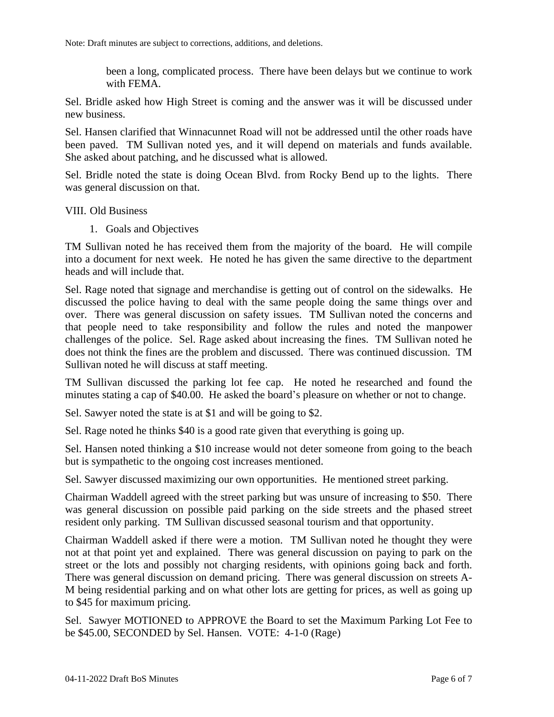been a long, complicated process. There have been delays but we continue to work with FEMA.

Sel. Bridle asked how High Street is coming and the answer was it will be discussed under new business.

Sel. Hansen clarified that Winnacunnet Road will not be addressed until the other roads have been paved. TM Sullivan noted yes, and it will depend on materials and funds available. She asked about patching, and he discussed what is allowed.

Sel. Bridle noted the state is doing Ocean Blvd. from Rocky Bend up to the lights. There was general discussion on that.

#### VIII. Old Business

1. Goals and Objectives

TM Sullivan noted he has received them from the majority of the board. He will compile into a document for next week. He noted he has given the same directive to the department heads and will include that.

Sel. Rage noted that signage and merchandise is getting out of control on the sidewalks. He discussed the police having to deal with the same people doing the same things over and over. There was general discussion on safety issues. TM Sullivan noted the concerns and that people need to take responsibility and follow the rules and noted the manpower challenges of the police. Sel. Rage asked about increasing the fines. TM Sullivan noted he does not think the fines are the problem and discussed. There was continued discussion. TM Sullivan noted he will discuss at staff meeting.

TM Sullivan discussed the parking lot fee cap. He noted he researched and found the minutes stating a cap of \$40.00. He asked the board's pleasure on whether or not to change.

Sel. Sawyer noted the state is at \$1 and will be going to \$2.

Sel. Rage noted he thinks \$40 is a good rate given that everything is going up.

Sel. Hansen noted thinking a \$10 increase would not deter someone from going to the beach but is sympathetic to the ongoing cost increases mentioned.

Sel. Sawyer discussed maximizing our own opportunities. He mentioned street parking.

Chairman Waddell agreed with the street parking but was unsure of increasing to \$50. There was general discussion on possible paid parking on the side streets and the phased street resident only parking. TM Sullivan discussed seasonal tourism and that opportunity.

Chairman Waddell asked if there were a motion. TM Sullivan noted he thought they were not at that point yet and explained. There was general discussion on paying to park on the street or the lots and possibly not charging residents, with opinions going back and forth. There was general discussion on demand pricing. There was general discussion on streets A-M being residential parking and on what other lots are getting for prices, as well as going up to \$45 for maximum pricing.

Sel. Sawyer MOTIONED to APPROVE the Board to set the Maximum Parking Lot Fee to be \$45.00, SECONDED by Sel. Hansen. VOTE: 4-1-0 (Rage)